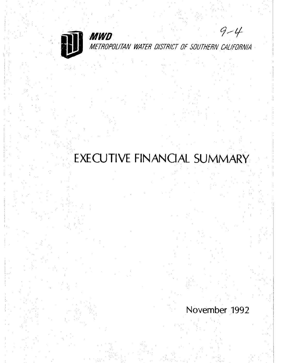

MWD METROPOLITAN WATER DISTRICT OF SOUTHERN CALIFORNIA

 $9 - 4$ 

# EXECUTIVE FINANCIAL SUMMARY

November 1992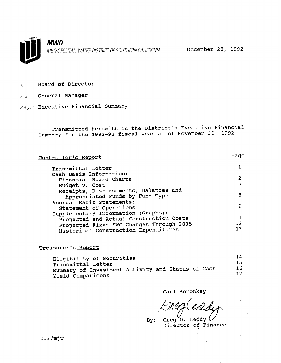

MWD METROPOLITAN WATER DISTRICT OF SOUTHERN CALIFORNIA December 28, 1992

 $T_{0}$ : Board of Directors

From: General Manager

Subject: Executive Financial Summary

Transmitted herewith is the District's Executive Financial Summary for the 1992-93 fiscal year as of November 30, 1992.

| Controller's Report                      | <u>Paqe</u> |
|------------------------------------------|-------------|
| Transmittal Letter                       |             |
| Cash Basis Information:                  |             |
| Financial Board Charts                   | 2           |
| Budget v. Cost                           | 5           |
| Receipts, Disbursements, Balances and    | 8           |
| Appropriated Funds by Fund Type          |             |
| Accrual Basis Statements:                |             |
| Statement of Operations                  | 9           |
| Supplementary Information (Graphs):      |             |
| Projected and Actual Construction Costs  | 11          |
| Projected Fixed SWC Charges Through 2035 | 12          |
| Historical Construction Expenditures     | 1 วิ        |

### Treasurer's Report

| Eligibility of Securities                         | 14  |
|---------------------------------------------------|-----|
| Transmittal Letter                                | 15. |
| Summary of Investment Activity and Status of Cash | 16  |
| Yield Comparisons                                 | 17  |

Carl Boronkay

By: Greg D. Leddy  $U$ <br>Director of Finance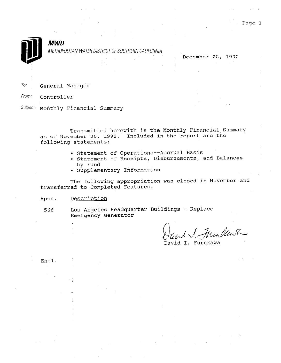

# MWD

METROPOLITAN WATER DISTRICT OF SOUTHERN CALIFORNIA

|  |  |  |  | December 28, 1992 |  |
|--|--|--|--|-------------------|--|
|  |  |  |  |                   |  |
|  |  |  |  |                   |  |
|  |  |  |  |                   |  |

To: General Manager

From: **Controller** 

Subject: Monthly Financial Summary

Transmitted herewith is the Monthly Financial Summary as of November 30, 1992. Included in the report are the following statements:

- Statement of Operations--Accrual Basis
- Statement of Receipts, Disbursements, and Balances by Fund
- Supplementary Information

The following appropriation was closed in November and transferred to Completed Features.

# Appn. Description

566 Los Angeles Headquarter Buildings - Replace Emergency Generator

David I. Furukawa

Encl.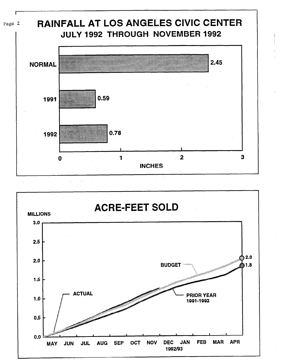





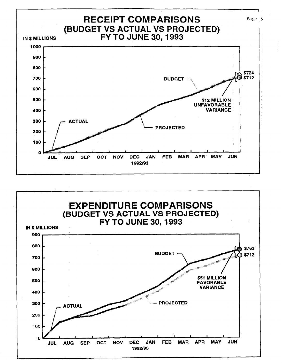

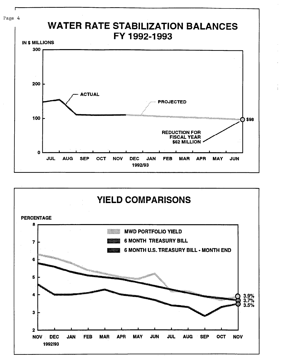



Page 4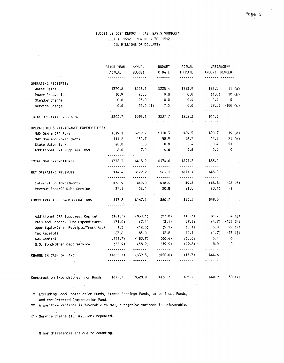# BUDGET VS COST REPGRT - CASH BASIS SUMMARY\* JULY 1, 1992 - NOVEMBER 30, 1992 (IN MILLIONS OF DOLLARS)

|                                                                            | PRIOR YEAR                                           | ANNUAL                          | <b>BUDGET</b>                                                                                                                                                                                                                                                                                                                                                                                                                                                                                 | <b>ACTUAL</b>                                                                                                                                                                                                                                                                                                                                                                                                                                                                                 | VARIANCE**                           |                      |
|----------------------------------------------------------------------------|------------------------------------------------------|---------------------------------|-----------------------------------------------------------------------------------------------------------------------------------------------------------------------------------------------------------------------------------------------------------------------------------------------------------------------------------------------------------------------------------------------------------------------------------------------------------------------------------------------|-----------------------------------------------------------------------------------------------------------------------------------------------------------------------------------------------------------------------------------------------------------------------------------------------------------------------------------------------------------------------------------------------------------------------------------------------------------------------------------------------|--------------------------------------|----------------------|
|                                                                            | <b>ACTUAL</b>                                        | <b>BUDGET</b>                   | TO DATE                                                                                                                                                                                                                                                                                                                                                                                                                                                                                       | TO DATE                                                                                                                                                                                                                                                                                                                                                                                                                                                                                       | AMOUNT PERCENT                       |                      |
| OPERATING RECEIPTS:                                                        | - <b>- - - - -</b> - - -                             | <u>-------</u>                  | -------                                                                                                                                                                                                                                                                                                                                                                                                                                                                                       | -------                                                                                                                                                                                                                                                                                                                                                                                                                                                                                       | 222222 <i>-</i> 223222               |                      |
| Water Sales                                                                | \$379.8                                              | \$528.1                         | \$220.4                                                                                                                                                                                                                                                                                                                                                                                                                                                                                       | \$243.9                                                                                                                                                                                                                                                                                                                                                                                                                                                                                       | \$23.5                               | 11(a)                |
| Power Recoveries                                                           | 10.9                                                 | 20.0                            | 9.8                                                                                                                                                                                                                                                                                                                                                                                                                                                                                           | 8.0                                                                                                                                                                                                                                                                                                                                                                                                                                                                                           | (1.8)                                | $-18$ (b)            |
| Standby Charge                                                             | 0.0                                                  | 25.0                            | 0.0                                                                                                                                                                                                                                                                                                                                                                                                                                                                                           | 0,4                                                                                                                                                                                                                                                                                                                                                                                                                                                                                           | 0.4                                  | 0                    |
| Service Charge                                                             | 0.0                                                  | 25.0(1)                         | 7.5                                                                                                                                                                                                                                                                                                                                                                                                                                                                                           | 0.0                                                                                                                                                                                                                                                                                                                                                                                                                                                                                           | (7.5)                                | $-100$ (c)           |
| TOTAL OPERATING RECEIPTS                                                   | - <b>-</b> - - - - - - -<br>\$390.7<br>$\frac{1}{2}$ | <u>.</u><br>\$598.1<br>.        | --------<br>\$237.7<br><u>.</u>                                                                                                                                                                                                                                                                                                                                                                                                                                                               | -------<br>\$252.3                                                                                                                                                                                                                                                                                                                                                                                                                                                                            | -------<br>\$14.6<br>-------         |                      |
| OPERATIONS & MAINTENANCE EXPENDITURES:                                     |                                                      |                                 |                                                                                                                                                                                                                                                                                                                                                                                                                                                                                               |                                                                                                                                                                                                                                                                                                                                                                                                                                                                                               |                                      |                      |
| MWD O&M & CRA Power                                                        | \$219.1                                              | \$259.7                         | \$110.3                                                                                                                                                                                                                                                                                                                                                                                                                                                                                       | \$89.5                                                                                                                                                                                                                                                                                                                                                                                                                                                                                        | \$20.7                               | 19 (d)               |
| SWC O&M and Power (Net)                                                    | 111.2                                                | 150.7                           | 58.9                                                                                                                                                                                                                                                                                                                                                                                                                                                                                          | 46.7                                                                                                                                                                                                                                                                                                                                                                                                                                                                                          | 12.2                                 | $21$ (e)             |
| State Water Bank                                                           | 40.0                                                 | 0.8                             | 0.8                                                                                                                                                                                                                                                                                                                                                                                                                                                                                           | 0.4                                                                                                                                                                                                                                                                                                                                                                                                                                                                                           | 0.4                                  | 51                   |
| Additional CRA Supplies: O&M                                               | 6.0<br><u>.</u>                                      | 7.0                             | 4.6<br>$\begin{array}{cccccccccc} \multicolumn{2}{c}{} & \multicolumn{2}{c}{} & \multicolumn{2}{c}{} & \multicolumn{2}{c}{} & \multicolumn{2}{c}{} & \multicolumn{2}{c}{} & \multicolumn{2}{c}{} & \multicolumn{2}{c}{} & \multicolumn{2}{c}{} & \multicolumn{2}{c}{} & \multicolumn{2}{c}{} & \multicolumn{2}{c}{} & \multicolumn{2}{c}{} & \multicolumn{2}{c}{} & \multicolumn{2}{c}{} & \multicolumn{2}{c}{} & \multicolumn{2}{c}{} & \multicolumn{2}{c}{} & \multicolumn{2}{c}{} & \mult$ | 4.6<br>$\begin{array}{cccccccccc} \multicolumn{2}{c}{} & \multicolumn{2}{c}{} & \multicolumn{2}{c}{} & \multicolumn{2}{c}{} & \multicolumn{2}{c}{} & \multicolumn{2}{c}{} & \multicolumn{2}{c}{} & \multicolumn{2}{c}{} & \multicolumn{2}{c}{} & \multicolumn{2}{c}{} & \multicolumn{2}{c}{} & \multicolumn{2}{c}{} & \multicolumn{2}{c}{} & \multicolumn{2}{c}{} & \multicolumn{2}{c}{} & \multicolumn{2}{c}{} & \multicolumn{2}{c}{} & \multicolumn{2}{c}{} & \multicolumn{2}{c}{} & \mult$ | 0.0<br><b>*******</b>                | 0                    |
| TOTAL O&M EXPENDITURES                                                     | \$376.3<br><u>---------</u>                          | \$418.2<br>.                    | \$174.6<br>$1 - 1 - 1 - 1$                                                                                                                                                                                                                                                                                                                                                                                                                                                                    | \$141.2<br>-------                                                                                                                                                                                                                                                                                                                                                                                                                                                                            | \$33.4<br>-------                    |                      |
| NET OPERATING REVENUES                                                     | \$14.4                                               | \$179.9<br>-------              | \$63.1                                                                                                                                                                                                                                                                                                                                                                                                                                                                                        | \$111.1<br>-------                                                                                                                                                                                                                                                                                                                                                                                                                                                                            | \$48.0<br>-------                    |                      |
| Interest on Investments                                                    | ---------<br>\$36.5                                  | \$40.0                          | \$18.4                                                                                                                                                                                                                                                                                                                                                                                                                                                                                        | \$9.6                                                                                                                                                                                                                                                                                                                                                                                                                                                                                         | (8.8)                                | $-48$ (f)            |
| Revenue Bond/CP Debt Service                                               | 37.1                                                 | 52.4                            | 20.8                                                                                                                                                                                                                                                                                                                                                                                                                                                                                          | 21.0<br>-------                                                                                                                                                                                                                                                                                                                                                                                                                                                                               | (0.1)<br>-------                     | -1<br>$\sim$ $\sim$  |
| FUNDS AVAILABLE FROM OPERATIONS                                            | . . <b>. .</b><br>\$13.8<br>________                 | -------<br>\$167.4<br>.         | -------<br>\$60.7<br>-------                                                                                                                                                                                                                                                                                                                                                                                                                                                                  | \$99.8<br>-------                                                                                                                                                                                                                                                                                                                                                                                                                                                                             | \$39.0<br>-------                    |                      |
|                                                                            |                                                      |                                 |                                                                                                                                                                                                                                                                                                                                                                                                                                                                                               |                                                                                                                                                                                                                                                                                                                                                                                                                                                                                               | \$1.7                                |                      |
| Additional CRA Supplies: Capital                                           | ( \$21.7)<br>(31.0)                                  | (330.1)<br>(7.4)                | ( \$7.0)<br>(3.1)                                                                                                                                                                                                                                                                                                                                                                                                                                                                             | (15.3)<br>(7.8)                                                                                                                                                                                                                                                                                                                                                                                                                                                                               | (4.7)                                | $-24(9)$<br>-153 (h) |
| PAYG and General Fund Expenditures<br>Oper Equip/Other Receipts/Trust Acct | 1.2                                                  |                                 | (5.1)                                                                                                                                                                                                                                                                                                                                                                                                                                                                                         | (0.1)                                                                                                                                                                                                                                                                                                                                                                                                                                                                                         | 5.0                                  | 97 (i)               |
|                                                                            | 83.6                                                 | (12.3)<br>85.0                  | 12.8                                                                                                                                                                                                                                                                                                                                                                                                                                                                                          | 11.1                                                                                                                                                                                                                                                                                                                                                                                                                                                                                          | (1.7)                                | -13 (j)              |
| Tax Receipts                                                               | (144.7)                                              | (183.7)                         | (88.4)                                                                                                                                                                                                                                                                                                                                                                                                                                                                                        | (83.0)                                                                                                                                                                                                                                                                                                                                                                                                                                                                                        | 5.4                                  | $-6$                 |
| SWC Capital<br>G.O. Bond/Other Debt Service                                | (57.9)                                               | (58.2)                          | (19.9)                                                                                                                                                                                                                                                                                                                                                                                                                                                                                        | (19.8)                                                                                                                                                                                                                                                                                                                                                                                                                                                                                        | 0.0                                  | 0                    |
| CHANGE IN CASH ON HAND                                                     | .<br>(156.7)<br>---------                            | -------<br>( \$39.3)<br>------- | --------<br>$($ \$50.0)<br>-------                                                                                                                                                                                                                                                                                                                                                                                                                                                            | <b>.</b><br>(55.3)<br>. <b>.</b>                                                                                                                                                                                                                                                                                                                                                                                                                                                              | -------<br>\$44.6<br>$- - - - - - -$ |                      |
|                                                                            |                                                      |                                 |                                                                                                                                                                                                                                                                                                                                                                                                                                                                                               |                                                                                                                                                                                                                                                                                                                                                                                                                                                                                               |                                      |                      |
| Construction Expenditures from Bonds                                       | \$144.7                                              | \$328.0                         | \$136.7                                                                                                                                                                                                                                                                                                                                                                                                                                                                                       | \$95.7                                                                                                                                                                                                                                                                                                                                                                                                                                                                                        | \$40.9                               | 30(k)                |

\* Excluding Bond Construction Funds, Excess Earnings Funds, other Trust Funds, and the Deferred Compensation Fund.

\*\* A positive variance is favorable to MWD, a negative variance is unfavorable.

(1) Service Charge (\$25 million) repealed.

Minor differences are due to rounding.

 $\mathcal{A}$ 

 $\bar{1}$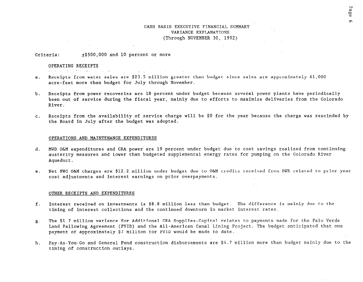### CASH BASIS EXECUTIVE FINANCIAL SUMMARY VARIANCE EXPLANATIONS (Through NOVEMBER 30, 1992)

Criteria:  $\pm$ \$500,000 and 10 percent or more

#### OPERATING RECEIPTS

#### , and it is a sequence of the sequence of  $\mathcal{L}_\mathrm{max}$

- a. Receipts from water sales are \$23.5 million greater than budget since sales are approximately 61,000 acre-feet more than budget for July through November.
- b. Receipts from power recoveries are 18 percent under budget because several power plants have periodically been out of service during the fiscal year, mainly due to efforts to maximize deliveries from the Colorado River.
- C. Receipts from the availability of service charge will be \$0 for the year because the charge was rescinded by the Board in July after the budget was adopted.

#### OPERATIONS AND MAINTENANCE EXPENDITURES

- d. MWD O&M expenditures and CRA power are 19 percent under budget due to cost savings realized from continuing austerity measures and lower than budgeted supplemental energy rates for pumping on the Colorado River Aqueduct.
- e. Net SWC O&M charges are \$12.2 million under budget due to O&M credits received from DWR related to prior year cost adjustments and interest earnings on prior overpayments.

#### OTHER RECEIPTS AND EXPENDITURES

- f. Interest received on investments is \$8.8 million less than budget. The difference is mainly due to the timing of interest collections and the continued downturn in market interest rates.
- g. The \$1.7 million variance for Additional CRA Supplies-Capital relates to payments made for the Palo Verde Land Fallowing Agreement (PVID) and the All-American Canal Lining Project. The budget anticipated that one payment of approximately \$7 million for PVID would be made to date.
- h. Pay-As-You-Go and General Fund construction disbursements are \$4.7 million more than budget mainly due to the timing of construction outlays.

 $\sim$   $\sim$   $\sim$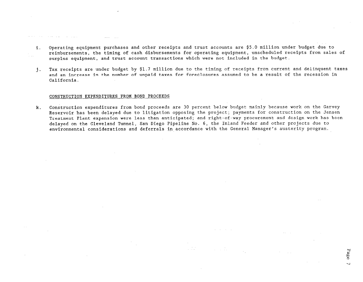- i. Operating equipment purchases and other receipts and trust accounts are \$5.0 million under budget due to reimbursements, the timing of cash disbursements for operating equipment, unscheduled receipts from sales of surplus equipment, and trust account transactions which were not included in the budget.
- j. Tax receipts are under budget by \$1.7 million due to the timing of receipts from current and delinquent taxes and an increase in the number of unpaid taxes for foreclosures assumed to be a result of the recession in California.

#### CONSTRUCTION EXPENDITURES FROM BOND PROCEEDS

k. Construction expenditures from bond proceeds are 30 percent below budget mainly because work on the Garvey Reservoir has been delayed due to litigation opposing the project; payments for construction on the Jensen Treatment Plant expansion were less than anticipated; and right-of-way procurement and design work has been delayed on the Cleveland Tunnel, San Diego Pipeline No. 6, the Inland Feeder and other projects due to environmental considerations and deferrals in accordance with the General Manager's austerity program.

 $\mathcal{A}=\mathcal{A}(\mathcal{I}_\mathcal{A})$ 

 $\omega_{\rm{eff}}=-\omega_{\rm{eff}}$ 

Page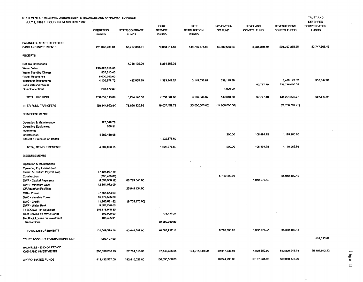| STATEMENT OF RECEIPTS, DISBURSEMENTS, BALANCES AND APPROPRIATED FUNDS<br>JULY 1, 1992 THROUGH NOVEMBER 30, 1992 |                                  |                                |                                               |                                                     |                               |                                  |                                    | <b>TRUST AND</b><br>DEFERRED        |
|-----------------------------------------------------------------------------------------------------------------|----------------------------------|--------------------------------|-----------------------------------------------|-----------------------------------------------------|-------------------------------|----------------------------------|------------------------------------|-------------------------------------|
|                                                                                                                 | <b>OPERATING</b><br><b>FUNDS</b> | STATE CONTRACT<br><b>FUNDS</b> | <b>DEBT</b><br><b>SERVICE</b><br><b>FUNDS</b> | <b>RATE</b><br><b>STABILIZATION</b><br><b>FUNDS</b> | PAY-AS-YOU-<br><b>GO FUND</b> | <b>REVOLVING</b><br>CONSTR. FUND | REVENUE BOND<br>CONSTR. FUNDS      | <b>COMPENSATION</b><br><b>FUNDS</b> |
| <b>BALANCES - START OF PERIOD</b>                                                                               |                                  |                                |                                               |                                                     |                               |                                  |                                    |                                     |
| <b>CASH AND INVESTMENTS</b>                                                                                     | 221 042 239 91                   | 58,717,348.81                  | 79.853,211.50                                 | 146,765,371.62                                      | 50,002,583.23                 | 6,281,359.49                     | 201,707,355.85                     | 33,747,568.43                       |
| <b>RECEIPTS</b>                                                                                                 |                                  |                                |                                               |                                                     |                               |                                  |                                    |                                     |
| <b>Net Tax Collections</b>                                                                                      |                                  | 4,736,192.29                   | 6,364,385.38                                  |                                                     |                               |                                  |                                    |                                     |
| <b>Water Sales</b>                                                                                              | 243,926,619.00                   |                                |                                               |                                                     |                               |                                  |                                    |                                     |
| <b>Water Standby Charge</b>                                                                                     | 357 810 45                       |                                |                                               |                                                     |                               |                                  |                                    |                                     |
| Power Recoverles                                                                                                | 8,000,962.60                     |                                |                                               |                                                     |                               |                                  |                                    |                                     |
| Interest on Investments                                                                                         | 4,105,978.72                     | 487,955.29                     | 1,393.649.27                                  | 3,149,038.67                                        | 539,149.39                    |                                  | 6 488, 172.32                      | 957,847.91                          |
| <b>Bond Sales/CP Sales</b>                                                                                      |                                  |                                |                                               |                                                     |                               | 92 777 10                        | 527,736,050.05                     |                                     |
| <b>Other Collections</b>                                                                                        | 265,572.32                       |                                |                                               |                                                     | 1,800.00                      |                                  |                                    |                                     |
|                                                                                                                 |                                  |                                |                                               |                                                     |                               |                                  |                                    |                                     |
| TOTAL RECEIPTS                                                                                                  | 256,659,143.09                   | 5,224,147.58                   | 7,758,034.63                                  | 3,149,038.67                                        | 540,949.39                    | 92,777.10                        | 534,224,222.37                     | 957,847.91                          |
| INTER-FUND TRANSFERS                                                                                            | (38, 144, 992.94)                | 76,896,325.99                  | 49,007,459.71                                 | (45,000,000.00)                                     | (14,000,000.00)               |                                  | (28, 758, 792.76)                  |                                     |
| <b>REIMBURSEMENTS</b>                                                                                           |                                  |                                |                                               |                                                     |                               |                                  |                                    |                                     |
| Operation & Maintenance                                                                                         | 223,548.78                       |                                |                                               |                                                     |                               |                                  |                                    |                                     |
| <b>Operating Equipment</b><br>Inventories                                                                       | 686.31                           |                                |                                               |                                                     |                               |                                  |                                    |                                     |
|                                                                                                                 | 4,683,418.06                     |                                |                                               |                                                     | 200.00                        | 106,494.75                       | 1,179,265.95                       |                                     |
| Construction<br>Interest & Premium on Bonds                                                                     |                                  |                                | 1,222,876.82                                  |                                                     |                               |                                  |                                    |                                     |
| TOTAL REIMBURSEMENTS                                                                                            | 4,907,653.15                     |                                | 1,222,876.82                                  |                                                     | 200.00                        | 106,494.75                       | 1,179,265.95                       |                                     |
| <b>DISBURSEMENTS</b>                                                                                            |                                  |                                |                                               |                                                     |                               |                                  |                                    |                                     |
| Operation & Maintenance                                                                                         |                                  |                                |                                               |                                                     |                               |                                  |                                    |                                     |
| Operating Equipment (Net)                                                                                       |                                  |                                |                                               |                                                     |                               |                                  |                                    |                                     |
| Invent. & Undistr. Payroll (Net)                                                                                | 87, 121, 987. 19                 |                                |                                               |                                                     |                               |                                  |                                    |                                     |
| Construction                                                                                                    | (285, 429.01)                    |                                |                                               |                                                     | 5,725,993.96                  |                                  | 95,052,102.48                      |                                     |
| DWR - Capital Payments                                                                                          | (4 039 350 12)                   | 66,799,545.00                  |                                               |                                                     |                               | 1,942,078.42                     |                                    |                                     |
| DWR - Minimum O&M                                                                                               | 12 101 012 09                    |                                |                                               |                                                     |                               |                                  |                                    |                                     |
| <b>Off Aqueduct Facilities</b>                                                                                  |                                  | 25,949,434.00                  |                                               |                                                     |                               |                                  |                                    |                                     |
| CRA - Power                                                                                                     | 37 751 554 00                    |                                |                                               |                                                     |                               |                                  |                                    |                                     |
| SWC - Variable Power                                                                                            | 15,774,535.00                    |                                |                                               |                                                     |                               |                                  |                                    |                                     |
| SWC - Credit                                                                                                    | 11,263,631.62                    | (9,705,170.00)                 |                                               |                                                     |                               |                                  |                                    |                                     |
| DWR - Water Bank                                                                                                | 9,301,278.00                     |                                |                                               |                                                     |                               |                                  |                                    |                                     |
| To SDCWA - Ist Aqueduct                                                                                         | (16, 118, 945, 30)               |                                |                                               |                                                     |                               |                                  |                                    |                                     |
| Debt Service on MWD Bonds                                                                                       | 393,900.00                       |                                | 732,136.22                                    |                                                     |                               |                                  |                                    |                                     |
| Net Book Losses on Investment                                                                                   | 105,405.91                       |                                |                                               |                                                     |                               |                                  |                                    |                                     |
| Transactions                                                                                                    |                                  |                                | 39,960,000.89                                 |                                                     |                               |                                  |                                    |                                     |
| TOTAL DISBURSEMENTS                                                                                             | 153,369,579.38                   | 83,043,809.00                  | 40,692,217.11                                 |                                                     | 5,725,993.96                  | 1,942,078.42                     | $\sim$ 100 $\sim$<br>95,052,102.48 |                                     |
| TRUST ACCOUNT TRANSACTIONS (NET)                                                                                | (698, 197.60)                    |                                |                                               |                                                     |                               |                                  |                                    | 402,525.88                          |
| BALANCES - END OF PERIOD                                                                                        |                                  |                                |                                               |                                                     |                               |                                  |                                    |                                     |
| <b>CASH AND INVESTMENTS</b>                                                                                     | 290, 396, 266. 23                | 57,794,013.38                  | 97,149,365.55                                 | 104,914,410.29                                      | 30,817,738.66                 | 4,538,552.92                     | 613,299,948.93                     | 35, 107, 942.22                     |
| APPROPRIATED FUNDS                                                                                              | 418.432.537.00                   | 182.910.026.00                 | 106,095,556.00                                |                                                     | 10,274,290.00                 | 10,167,031.00                    | 450,980,878.00                     |                                     |

Page 8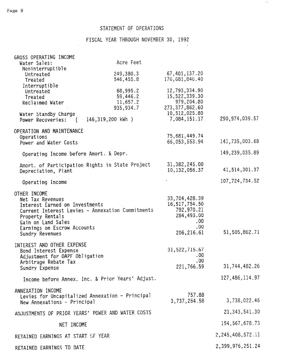# STATEMENT OF OPERATIONS

# FISCAL YEAR THROUGH NOVEMBER 30, 1992

 $\sim$   $\sim$ 

| GROSS OPERATING INCOME<br>Water Sales:                                                                                                                         | Acre Feet                                        |                                                                                                |                      |
|----------------------------------------------------------------------------------------------------------------------------------------------------------------|--------------------------------------------------|------------------------------------------------------------------------------------------------|----------------------|
| Noninterruptible<br>Untreated<br>Treated                                                                                                                       | 249,380.3<br>546,455.8                           | 67,401,137.20<br>176,681,846.40                                                                |                      |
| Interruptible<br>Untreated<br>Treated<br>Reclaimed Water                                                                                                       | 68,995.2<br>59,446.2<br>11,657.2<br>935, 934.7   | 12,793,334.90<br>15,522,339.30<br>979,204.80<br>273, 377, 862.60<br>10,512,025.80              |                      |
| Water Standby Charge<br>Power Recoveries: (                                                                                                                    | 146,319,200 kWh )                                | 7,084,151.17                                                                                   | 290, 974, 039.57     |
| OPERATION AND MAINTENANCE<br>Operations<br>Power and Water Costs                                                                                               |                                                  | 75,681,449.74<br>66, 053, 553.94                                                               | 141,735,003.68       |
| Operating Income before Amort. & Depr.                                                                                                                         |                                                  |                                                                                                | 149,239,035.89       |
| Depreciation, Plant                                                                                                                                            | Amort. of Participation Rights in State Project  | 31, 382, 245.00<br>10, 132, 056.37                                                             | 41, 514, 301.37      |
| Operating Income                                                                                                                                               |                                                  |                                                                                                | 107,724,734.52       |
| OTHER INCOME<br>Net Tax Revenues<br>Interest Earned on Investments<br>Property Rentals<br>Gain on Land Sales<br>Earnings on Escrow Accounts<br>Sundry Revenues | Current Interest Levies - Annexation Commitments | 33,704,428.39<br>16, 517, 754.50<br>792,970.21<br>284,493.00<br>$.00 \,$<br>.00.<br>206,216.61 | 51,505,862.71        |
| INTEREST AND OTHER EXPENSE<br>Bond Interest Expense<br>Adjustment for OAPF Obligation<br>Arbitrage Rebate Tax<br>Sundry Expense                                |                                                  | 31, 522, 715.67<br>.00<br>.00<br>221,766.59                                                    | 31,744,482.26        |
|                                                                                                                                                                | Income before Annex. Inc. & Prior Years' Adjust. |                                                                                                | 127,486,114.97       |
| ANNEXATION INCOME<br>New Annexations - Principal                                                                                                               | Levies for Uncapitalized Annexation - Principal  | 757.88<br>3,737,264.58                                                                         | 3,738,022.46         |
| ADJUSTMENTS OF PRIOR YEARS' POWER AND WATER COSTS                                                                                                              |                                                  |                                                                                                | 23, 343, 541. 30     |
| NET INCOME                                                                                                                                                     |                                                  |                                                                                                | 154, 567, 678.73     |
| RETAINED EARNINGS AT START OF YEAR                                                                                                                             |                                                  |                                                                                                | 2, 245, 408, 572. 51 |
| RETAINED EARNINGS TO DATE                                                                                                                                      |                                                  |                                                                                                | 2,399,976,251.24     |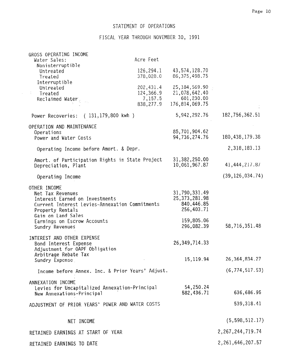# STATEMENT OF OPERATIONS

F ISCAL YEAR THROUGH NOVEMBER 30, 1991

| GROSS OPERATING INCOME                                  |           |                  |                      |
|---------------------------------------------------------|-----------|------------------|----------------------|
| Water Sales:                                            | Acre Feet |                  |                      |
| Noninterruptible                                        |           |                  |                      |
| Untreated                                               | 126,294.1 | 43,574,128.70    |                      |
| Treated                                                 | 378,028.0 | 86, 375, 498. 75 |                      |
| Interruptible                                           |           |                  |                      |
| Untreated                                               | 202,431.4 | 25, 184, 569.90  |                      |
| Treated                                                 | 124,366.9 | 21,078,642.40    |                      |
| Reclaimed Water                                         | 7,157.5   | 601,230.00       |                      |
|                                                         | 838,277.9 | 176,814,069.75   |                      |
| $(131, 179, 800 \text{ kWh})$<br>Power Recoveries:      |           | 5,942,292.76     | 182,756,362.51       |
| OPERATION AND MAINTENANCE                               |           |                  |                      |
| Operations                                              |           | 85,701,904.62    |                      |
| Power and Water Costs                                   |           | 94,736,274.76    | 180, 438, 179. 38    |
|                                                         |           |                  |                      |
| Operating Income before Amort. & Depr.                  |           |                  | 2,318,183.13         |
| Amort. of Participation Rights in State Project         |           | 31,382,250.00    |                      |
| Depreciation, Plant                                     |           | 10,061,967.87    | 41, 444, 217.87      |
|                                                         |           |                  |                      |
| Operating Income                                        |           |                  | (39, 126, 034.74)    |
| OTHER INCOME                                            |           |                  |                      |
| Net Tax Revenues                                        |           | 31,790,331.49    |                      |
| Interest Earned on Investments                          |           | 25, 373, 281.98  |                      |
| Current Interest Levies-Annexation Commitments          |           | 840,446.85       |                      |
| Property Rentals                                        |           | 256,403.71       |                      |
| Gain on Land Sales                                      |           |                  |                      |
| Earnings on Escrow Accounts                             |           | 159,805.06       |                      |
| Sundry Revenues                                         |           | 296,082.39       | 58,716,351.48        |
|                                                         |           |                  |                      |
| INTEREST AND OTHER EXPENSE                              |           | 26, 349, 714. 33 |                      |
| Bond Interest Expense<br>Adjustment for OAPF Obligation |           |                  |                      |
| Arbitrage Rebate Tax                                    |           |                  |                      |
| Sundry Expense                                          |           | 15, 119.94       | 26, 364, 834. 27     |
|                                                         |           |                  |                      |
| Income before Annex. Inc. & Prior Years' Adjust.        |           |                  | (6, 774, 517.53)     |
|                                                         |           |                  |                      |
| ANNEXATION INCOME                                       |           |                  |                      |
| Levies for Uncapitalized Annexation-Principal           |           | 54,250.24        |                      |
| New Annexations-Principal                               |           | 582,436.71       | 636,686.95           |
|                                                         |           |                  |                      |
| ADJUSTMENT OF PRIOR YEARS' POWER AND WATER COSTS        |           |                  | 539,318.41           |
| NET INCOME                                              |           |                  | (5, 598, 512.17)     |
|                                                         |           |                  |                      |
| RETAINED EARNINGS AT START OF YEAR                      |           |                  | 2, 267, 244, 719. 74 |
| RETAINED EARNINGS TO DATE                               |           |                  | 2, 261, 646, 207.57  |
|                                                         |           |                  |                      |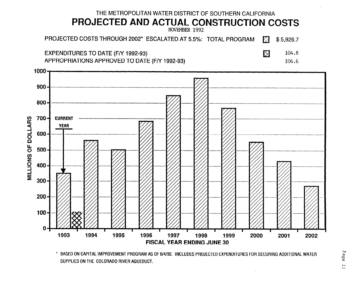

SUPPLIES ON THE COLORADO RIVER AQUEDUCT.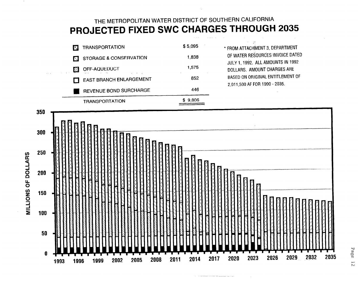# THE METROPOLITAN WATER DISTRICT OF SOUTHERN CALIFORNIA PROJECTED FIXED SWC CHARGES THROUGH 2035

|  | <b>TRANSPORTATION</b><br>K. | \$5,095 | * FROM ATTACHMENT 3, DEPARTMENT                                       |
|--|-----------------------------|---------|-----------------------------------------------------------------------|
|  | STORAGE & CONSERVATION      | 1,838   | OF WATER RESOURCES INVOICE DATED<br>JULY 1, 1992. ALL AMOUNTS IN 1992 |
|  | OFF-AQUEDUCT                | 1,575   | DOLLARS. AMOUNT CHARGES ARE                                           |
|  | EAST BRANCH ENLARGEMENT     | 852     | BASED ON ORIGINAL ENTITLEMENT OF<br>2,011,500 AF FOR 1990 - 2035.     |
|  | REVENUE BOND SURCHARGE      | 446     |                                                                       |
|  | <b>TRANSPORTATION</b>       | \$9,806 |                                                                       |



<u>man a chemical del</u>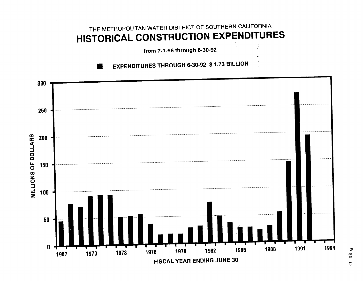# THE METROPOLITAN WATER DISTRICT OF SOUTHERN CALIFORNIA HISTORICAL CONSTRUCTION EXPENDITURES

from 7-1-66 through 6-30-92

**EXPENDITURES THROUGH 6-30-92 \$ 1.73 BILLION** 

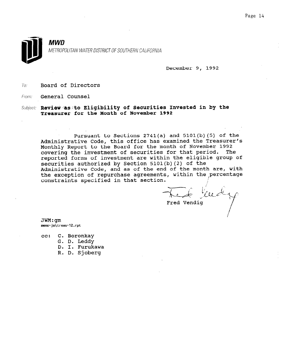

December 9, 1992

To: Board of Directors

From: **General Counsel** 

Subject: Review as to Eligibility of Securities Invested in by the Treasurer for the Month of November 1992

Pursuant to Sections 2741(a) and 5101(b)(5) of the Administrative Code, this office has examined the Treasurer's Monthly Report to the Board for the month of November 1992 monthly Report to the board for the month of november 1992. covering the investment or securities for that period. The reported forms of investment are within the eligible group of securities authorized by Section 5101(b)(2) of the Securities authorized by Section  $\frac{1}{2}$  (2) of the month are, with Administrative code, and as of the end of the month are, when the exception of repurchase agreements, within the percentage constraints specified in that section.

The tells

 $JWM:$ qm memo-jm\treas-12.rpt

C. Boronkay  $cc:$ 

G. D. Leddy

D. I. Furukawa

R. D. Sjoberg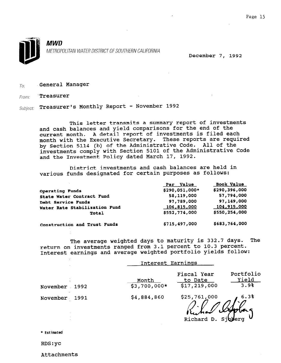

December 7, 1992

## $\tau_{0}$ : General Manager

From: 'Treasurer

Subject: Treasurer's Monthly Report - November 1992

This letter transmits a summary report of investments and cash balances and yield comparisons for the end of the current month. A detail report of investments is filed each month with the Executive Secretary. These reports are required by Section 5114 (b) of the Administrative Code. All of the investments comply with Section 5101 of the Administrative Code and the Investment Policy dated March 17, 1992.

'District investments and cash balances are held in various funds designated for certain purposes as follows:

|                               | Par Value      | Book Value         |
|-------------------------------|----------------|--------------------|
| Operating Funds               | \$290,051,000* | \$290,396,000      |
| State Water Contract Fund     | 58,119,000     | 57,794,000         |
| Debt Service Funds            | 97,789,000     | 97,149,000         |
| Water Rate Stabilization Fund | 106,815,000    | <u>104,915,000</u> |
| Total                         | \$552,774,000  | \$550,254,000      |
| Construction and Trust Funds  | \$715,497,000  | \$683,764,000      |

The average weighted days to maturity is 332.7 days. The return on investments ranged from 3.1 percent to 10.3 percent. Interest earnings and average weighted portfolio yields follow:

|               |      |                        | Interest Earnings                      |                            |
|---------------|------|------------------------|----------------------------------------|----------------------------|
| November      | 1992 | Month<br>$$3,700,000*$ | Fiscal Year<br>to Date<br>\$17,219,000 | Portfolio<br>Yield<br>3.9% |
| November 1991 |      | \$4,884,860            | \$25,761,000                           | 6.3%<br>" Val Aplas        |
|               |      |                        |                                        |                            |

Richard D. Sjolerg V

\* Estimated

RDS:yc

Attachments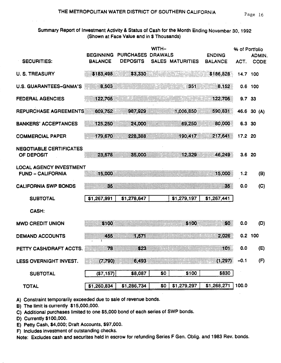# Summary Report of Investment Activity & Status of Cash for the Month Ending November 30, 1992 (Shown at Face Value and in \$ Thousands)

|                                                            | <b>BEGINNING</b> | <b>PURCHASES</b> | WITH-<br><b>DRAWALS</b> |                  | <b>ENDING</b>  | % of Portfolio | ADMIN.      |
|------------------------------------------------------------|------------------|------------------|-------------------------|------------------|----------------|----------------|-------------|
| <b>SECURITIES:</b>                                         | <b>BALANCE</b>   | <b>DEPOSITS</b>  |                         | SALES MATURITIES | <b>BALANCE</b> | ACT.           | <b>CODE</b> |
| <b>U. S. TREASURY</b>                                      | \$183,498        | \$3,330          |                         |                  | \$186,828      | 14.7 100       |             |
| <b>U.S. GUARANTEES-GNMA'S</b>                              | 8,503            |                  |                         | 351              | 8,152          |                | $0.6$ 100   |
| <b>FEDERAL AGENCIES</b>                                    | 122,705          |                  |                         |                  | 122,705        | 9.7 33         |             |
| <b>REPURCHASE AGREEMENTS</b>                               | 609,752          | 987,929          |                         | 1.006,850        | 590,831        |                | 46.6 30 (A) |
| <b>BANKERS' ACCEPTANCES</b>                                | 125,250          | 24,000           |                         | 69,250           | 80,000         | 6.3 30         |             |
| <b>COMMERCIAL PAPER</b>                                    | 179,670          | 228,388          |                         | 190,417          | 217,641        | 17.2 20        |             |
| <b>NEGOTIABLE CERTIFICATES</b><br>OF DEPOSIT               | 23.578           | 85,000           |                         | 12.329           | 46,249         | 3.6 20         |             |
| <b>LOCAL AGENCY INVESTMENT</b><br><b>FUND - CALIFORNIA</b> | 15,000           |                  |                         |                  | 15,000         | 1.2            | (B)         |
| <b>CALIFORNIA SWP BONDS</b>                                | 85               |                  |                         |                  | 85             | 0.0            | (C)         |
| <b>SUBTOTAL</b>                                            | \$1,267,991      | \$1,278,647      |                         | \$1,279,197      | \$1,267,441    |                |             |
| CASH:                                                      |                  |                  |                         |                  |                |                |             |
| <b>MWD CREDIT UNION</b>                                    | \$100            |                  |                         | \$100            | \$0            | 0.0            | (D)         |
| <b>DEMAND ACCOUNTS</b>                                     | 7GS<br>Ŧ         | 867A)            |                         |                  | 2,026          |                | $0.2$ 100   |
| PETTY CASH/DRAFT ACCTS.                                    | 78               | 823              |                         |                  | 101            | 0.0            | (E)         |
| LESS OVERNIGHT INVEST.                                     | (7, 790)         | 6,493            |                         |                  | (1, 297)       | $-0.1$         | (F)         |
| <b>SUBTOTAL</b>                                            | (\$7,157)        | \$8,087          | \$0                     | \$100            | \$830          |                |             |
| <b>TOTAL</b>                                               | \$1,260,834      | \$1,286,734      | \$0                     | \$1,279,297      | \$1,268,271    | 100.0          |             |

A) Constraint temporarily exceeded due to sale of revenue bonds.

B) The limit is currently \$15,000,000.

C) Additional purchases limited to one \$5,000 bond of each series of SWP bonds.

D) Currently \$100,000.

E) Petty Cash, \$4,000; Draft Accounts, \$97,000.

F) Includes investment of outstanding checks.

Note: Excludes cash and securites held in escrow for refunding Series F Gen. Oblig. and 1983 Rev. bonds.